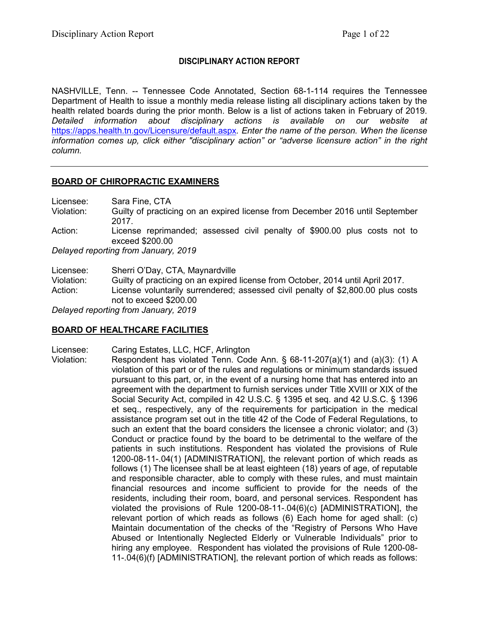### **DISCIPLINARY ACTION REPORT**

NASHVILLE, Tenn. -- Tennessee Code Annotated, Section 68-1-114 requires the Tennessee Department of Health to issue a monthly media release listing all disciplinary actions taken by the health related boards during the prior month. Below is a list of actions taken in February of 2019. *Detailed information about disciplinary actions is available on our website at*  <https://apps.health.tn.gov/Licensure/default.aspx>*. Enter the name of the person. When the license information comes up, click either "disciplinary action" or "adverse licensure action" in the right column.*

### **BOARD OF CHIROPRACTIC EXAMINERS**

Licensee: Sara Fine, CTA Violation: Guilty of practicing on an expired license from December 2016 until September 2017. Action: License reprimanded; assessed civil penalty of \$900.00 plus costs not to exceed \$200.00 *Delayed reporting from January, 2019*

Licensee: Sherri O'Day, CTA, Maynardville Violation: Guilty of practicing on an expired license from October, 2014 until April 2017. Action: License voluntarily surrendered; assessed civil penalty of \$2,800.00 plus costs not to exceed \$200.00 *Delayed reporting from January, 2019*

## **BOARD OF HEALTHCARE FACILITIES**

Licensee: Caring Estates, LLC, HCF, Arlington

Violation: Respondent has violated Tenn. Code Ann. § 68-11-207(a)(1) and (a)(3): (1) A violation of this part or of the rules and regulations or minimum standards issued pursuant to this part, or, in the event of a nursing home that has entered into an agreement with the department to furnish services under Title XVIII or XIX of the Social Security Act, compiled in 42 U.S.C. § 1395 et seq. and 42 U.S.C. § 1396 et seq., respectively, any of the requirements for participation in the medical assistance program set out in the title 42 of the Code of Federal Regulations, to such an extent that the board considers the licensee a chronic violator; and (3) Conduct or practice found by the board to be detrimental to the welfare of the patients in such institutions. Respondent has violated the provisions of Rule 1200-08-11-.04(1) [ADMINISTRATION], the relevant portion of which reads as follows (1) The licensee shall be at least eighteen (18) years of age, of reputable and responsible character, able to comply with these rules, and must maintain financial resources and income sufficient to provide for the needs of the residents, including their room, board, and personal services. Respondent has violated the provisions of Rule 1200-08-11-.04(6)(c) [ADMINISTRATION], the relevant portion of which reads as follows (6) Each home for aged shall: (c) Maintain documentation of the checks of the "Registry of Persons Who Have Abused or Intentionally Neglected Elderly or Vulnerable Individuals" prior to hiring any employee. Respondent has violated the provisions of Rule 1200-08- 11-.04(6)(f) [ADMINISTRATION], the relevant portion of which reads as follows: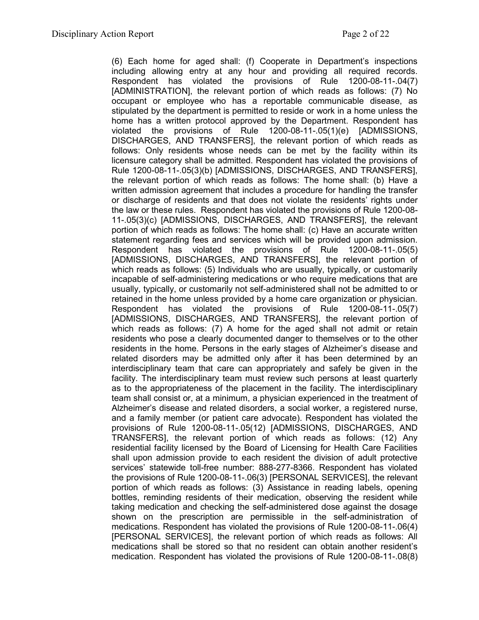(6) Each home for aged shall: (f) Cooperate in Department's inspections including allowing entry at any hour and providing all required records. Respondent has violated the provisions of Rule 1200-08-11-.04(7) [ADMINISTRATION], the relevant portion of which reads as follows: (7) No occupant or employee who has a reportable communicable disease, as stipulated by the department is permitted to reside or work in a home unless the home has a written protocol approved by the Department. Respondent has violated the provisions of Rule 1200-08-11-.05(1)(e) [ADMISSIONS, DISCHARGES, AND TRANSFERS], the relevant portion of which reads as follows: Only residents whose needs can be met by the facility within its licensure category shall be admitted. Respondent has violated the provisions of Rule 1200-08-11-.05(3)(b) [ADMISSIONS, DISCHARGES, AND TRANSFERS], the relevant portion of which reads as follows: The home shall: (b) Have a written admission agreement that includes a procedure for handling the transfer or discharge of residents and that does not violate the residents' rights under the law or these rules. Respondent has violated the provisions of Rule 1200-08- 11-.05(3)(c) [ADMISSIONS, DISCHARGES, AND TRANSFERS], the relevant portion of which reads as follows: The home shall: (c) Have an accurate written statement regarding fees and services which will be provided upon admission. Respondent has violated the provisions of Rule 1200-08-11-.05(5) [ADMISSIONS, DISCHARGES, AND TRANSFERS], the relevant portion of which reads as follows: (5) Individuals who are usually, typically, or customarily incapable of self-administering medications or who require medications that are usually, typically, or customarily not self-administered shall not be admitted to or retained in the home unless provided by a home care organization or physician. Respondent has violated the provisions of Rule 1200-08-11-.05(7) [ADMISSIONS, DISCHARGES, AND TRANSFERS], the relevant portion of which reads as follows: (7) A home for the aged shall not admit or retain residents who pose a clearly documented danger to themselves or to the other residents in the home. Persons in the early stages of Alzheimer's disease and related disorders may be admitted only after it has been determined by an interdisciplinary team that care can appropriately and safely be given in the facility. The interdisciplinary team must review such persons at least quarterly as to the appropriateness of the placement in the facility. The interdisciplinary team shall consist or, at a minimum, a physician experienced in the treatment of Alzheimer's disease and related disorders, a social worker, a registered nurse, and a family member (or patient care advocate). Respondent has violated the provisions of Rule 1200-08-11-.05(12) [ADMISSIONS, DISCHARGES, AND TRANSFERS], the relevant portion of which reads as follows: (12) Any residential facility licensed by the Board of Licensing for Health Care Facilities shall upon admission provide to each resident the division of adult protective services' statewide toll-free number: 888-277-8366. Respondent has violated the provisions of Rule 1200-08-11-.06(3) [PERSONAL SERVICES], the relevant portion of which reads as follows: (3) Assistance in reading labels, opening bottles, reminding residents of their medication, observing the resident while taking medication and checking the self-administered dose against the dosage shown on the prescription are permissible in the self-administration of medications. Respondent has violated the provisions of Rule 1200-08-11-.06(4) [PERSONAL SERVICES], the relevant portion of which reads as follows: All medications shall be stored so that no resident can obtain another resident's medication. Respondent has violated the provisions of Rule 1200-08-11-.08(8)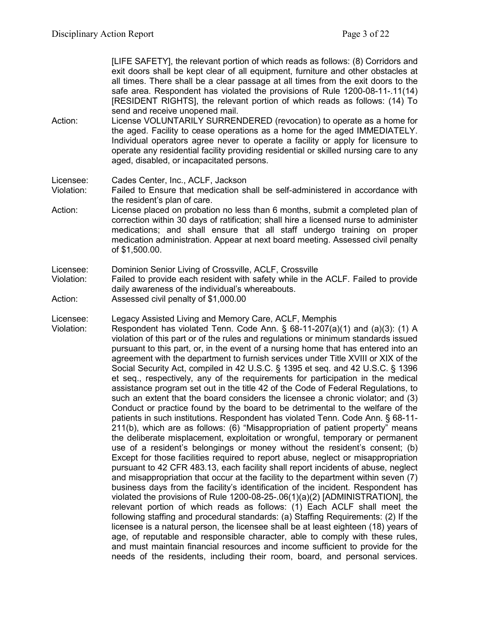[LIFE SAFETY], the relevant portion of which reads as follows: (8) Corridors and exit doors shall be kept clear of all equipment, furniture and other obstacles at all times. There shall be a clear passage at all times from the exit doors to the safe area. Respondent has violated the provisions of Rule 1200-08-11-.11(14) [RESIDENT RIGHTS], the relevant portion of which reads as follows: (14) To send and receive unopened mail.

- Action: License VOLUNTARILY SURRENDERED (revocation) to operate as a home for the aged. Facility to cease operations as a home for the aged IMMEDIATELY. Individual operators agree never to operate a facility or apply for licensure to operate any residential facility providing residential or skilled nursing care to any aged, disabled, or incapacitated persons.
- Licensee: Cades Center, Inc., ACLF, Jackson
- Violation: Failed to Ensure that medication shall be self-administered in accordance with the resident's plan of care.
- Action: License placed on probation no less than 6 months, submit a completed plan of correction within 30 days of ratification; shall hire a licensed nurse to administer medications; and shall ensure that all staff undergo training on proper medication administration. Appear at next board meeting. Assessed civil penalty of \$1,500.00.
- Licensee: Dominion Senior Living of Crossville, ACLF, Crossville
- Violation: Failed to provide each resident with safety while in the ACLF. Failed to provide daily awareness of the individual's whereabouts.
- Action: Assessed civil penalty of \$1,000.00

Licensee: Legacy Assisted Living and Memory Care, ACLF, Memphis

Violation: Respondent has violated Tenn. Code Ann. § 68-11-207(a)(1) and (a)(3): (1) A violation of this part or of the rules and regulations or minimum standards issued pursuant to this part, or, in the event of a nursing home that has entered into an agreement with the department to furnish services under Title XVIII or XIX of the Social Security Act, compiled in 42 U.S.C. § 1395 et seq. and 42 U.S.C. § 1396 et seq., respectively, any of the requirements for participation in the medical assistance program set out in the title 42 of the Code of Federal Regulations, to such an extent that the board considers the licensee a chronic violator; and (3) Conduct or practice found by the board to be detrimental to the welfare of the patients in such institutions. Respondent has violated Tenn. Code Ann. § 68-11- 211(b), which are as follows: (6) "Misappropriation of patient property" means the deliberate misplacement, exploitation or wrongful, temporary or permanent use of a resident's belongings or money without the resident's consent; (b) Except for those facilities required to report abuse, neglect or misappropriation pursuant to 42 CFR 483.13, each facility shall report incidents of abuse, neglect and misappropriation that occur at the facility to the department within seven (7) business days from the facility's identification of the incident. Respondent has violated the provisions of Rule 1200-08-25-.06(1)(a)(2) [ADMINISTRATION], the relevant portion of which reads as follows: (1) Each ACLF shall meet the following staffing and procedural standards: (a) Staffing Requirements: (2) If the licensee is a natural person, the licensee shall be at least eighteen (18) years of age, of reputable and responsible character, able to comply with these rules, and must maintain financial resources and income sufficient to provide for the needs of the residents, including their room, board, and personal services.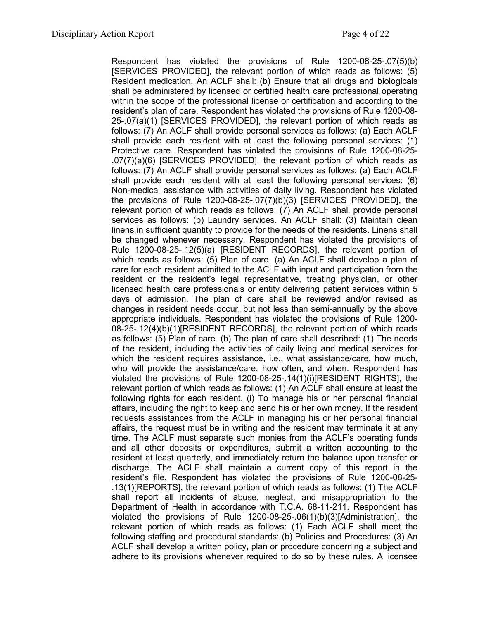Respondent has violated the provisions of Rule 1200-08-25-.07(5)(b) [SERVICES PROVIDED], the relevant portion of which reads as follows: (5) Resident medication. An ACLF shall: (b) Ensure that all drugs and biologicals shall be administered by licensed or certified health care professional operating within the scope of the professional license or certification and according to the resident's plan of care. Respondent has violated the provisions of Rule 1200-08- 25-.07(a)(1) [SERVICES PROVIDED], the relevant portion of which reads as follows: (7) An ACLF shall provide personal services as follows: (a) Each ACLF shall provide each resident with at least the following personal services: (1) Protective care. Respondent has violated the provisions of Rule 1200-08-25- .07(7)(a)(6) [SERVICES PROVIDED], the relevant portion of which reads as follows: (7) An ACLF shall provide personal services as follows: (a) Each ACLF shall provide each resident with at least the following personal services: (6) Non-medical assistance with activities of daily living. Respondent has violated the provisions of Rule 1200-08-25-.07(7)(b)(3) [SERVICES PROVIDED], the relevant portion of which reads as follows: (7) An ACLF shall provide personal services as follows: (b) Laundry services. An ACLF shall: (3) Maintain clean linens in sufficient quantity to provide for the needs of the residents. Linens shall be changed whenever necessary. Respondent has violated the provisions of Rule 1200-08-25-.12(5)(a) [RESIDENT RECORDS], the relevant portion of which reads as follows: (5) Plan of care. (a) An ACLF shall develop a plan of care for each resident admitted to the ACLF with input and participation from the resident or the resident's legal representative, treating physician, or other licensed health care professionals or entity delivering patient services within 5 days of admission. The plan of care shall be reviewed and/or revised as changes in resident needs occur, but not less than semi-annually by the above appropriate individuals. Respondent has violated the provisions of Rule 1200- 08-25-.12(4)(b)(1)[RESIDENT RECORDS], the relevant portion of which reads as follows: (5) Plan of care. (b) The plan of care shall described: (1) The needs of the resident, including the activities of daily living and medical services for which the resident requires assistance, i.e., what assistance/care, how much, who will provide the assistance/care, how often, and when. Respondent has violated the provisions of Rule 1200-08-25-.14(1)(i)[RESIDENT RIGHTS], the relevant portion of which reads as follows: (1) An ACLF shall ensure at least the following rights for each resident. (i) To manage his or her personal financial affairs, including the right to keep and send his or her own money. If the resident requests assistances from the ACLF in managing his or her personal financial affairs, the request must be in writing and the resident may terminate it at any time. The ACLF must separate such monies from the ACLF's operating funds and all other deposits or expenditures, submit a written accounting to the resident at least quarterly, and immediately return the balance upon transfer or discharge. The ACLF shall maintain a current copy of this report in the resident's file. Respondent has violated the provisions of Rule 1200-08-25- .13(1)[REPORTS], the relevant portion of which reads as follows: (1) The ACLF shall report all incidents of abuse, neglect, and misappropriation to the Department of Health in accordance with T.C.A. 68-11-211. Respondent has violated the provisions of Rule 1200-08-25-.06(1)(b)(3)[Administration], the relevant portion of which reads as follows: (1) Each ACLF shall meet the following staffing and procedural standards: (b) Policies and Procedures: (3) An ACLF shall develop a written policy, plan or procedure concerning a subject and adhere to its provisions whenever required to do so by these rules. A licensee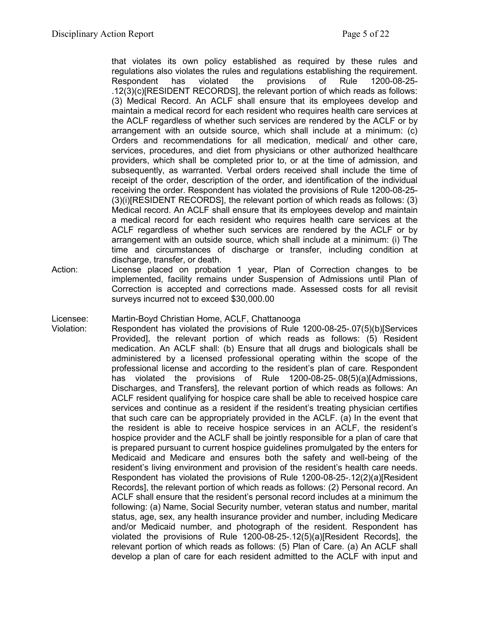that violates its own policy established as required by these rules and regulations also violates the rules and regulations establishing the requirement. Respondent has violated the provisions of Rule 1200-08-25- .12(3)(c)[RESIDENT RECORDS], the relevant portion of which reads as follows: (3) Medical Record. An ACLF shall ensure that its employees develop and maintain a medical record for each resident who requires health care services at the ACLF regardless of whether such services are rendered by the ACLF or by arrangement with an outside source, which shall include at a minimum: (c) Orders and recommendations for all medication, medical/ and other care, services, procedures, and diet from physicians or other authorized healthcare providers, which shall be completed prior to, or at the time of admission, and subsequently, as warranted. Verbal orders received shall include the time of receipt of the order, description of the order, and identification of the individual receiving the order. Respondent has violated the provisions of Rule 1200-08-25- (3)(i)[RESIDENT RECORDS], the relevant portion of which reads as follows: (3) Medical record. An ACLF shall ensure that its employees develop and maintain a medical record for each resident who requires health care services at the ACLF regardless of whether such services are rendered by the ACLF or by arrangement with an outside source, which shall include at a minimum: (i) The time and circumstances of discharge or transfer, including condition at discharge, transfer, or death.

Action: License placed on probation 1 year, Plan of Correction changes to be implemented, facility remains under Suspension of Admissions until Plan of Correction is accepted and corrections made. Assessed costs for all revisit surveys incurred not to exceed \$30,000.00

Licensee: Martin-Boyd Christian Home, ACLF, Chattanooga

Violation: Respondent has violated the provisions of Rule 1200-08-25-.07(5)(b)[Services Provided], the relevant portion of which reads as follows: (5) Resident medication. An ACLF shall: (b) Ensure that all drugs and biologicals shall be administered by a licensed professional operating within the scope of the professional license and according to the resident's plan of care. Respondent has violated the provisions of Rule 1200-08-25-.08(5)(a)[Admissions, Discharges, and Transfers], the relevant portion of which reads as follows: An ACLF resident qualifying for hospice care shall be able to received hospice care services and continue as a resident if the resident's treating physician certifies that such care can be appropriately provided in the ACLF. (a) In the event that the resident is able to receive hospice services in an ACLF, the resident's hospice provider and the ACLF shall be jointly responsible for a plan of care that is prepared pursuant to current hospice guidelines promulgated by the enters for Medicaid and Medicare and ensures both the safety and well-being of the resident's living environment and provision of the resident's health care needs. Respondent has violated the provisions of Rule 1200-08-25-.12(2)(a)[Resident Records], the relevant portion of which reads as follows: (2) Personal record. An ACLF shall ensure that the resident's personal record includes at a minimum the following: (a) Name, Social Security number, veteran status and number, marital status, age, sex, any health insurance provider and number, including Medicare and/or Medicaid number, and photograph of the resident. Respondent has violated the provisions of Rule 1200-08-25-.12(5)(a)[Resident Records], the relevant portion of which reads as follows: (5) Plan of Care. (a) An ACLF shall develop a plan of care for each resident admitted to the ACLF with input and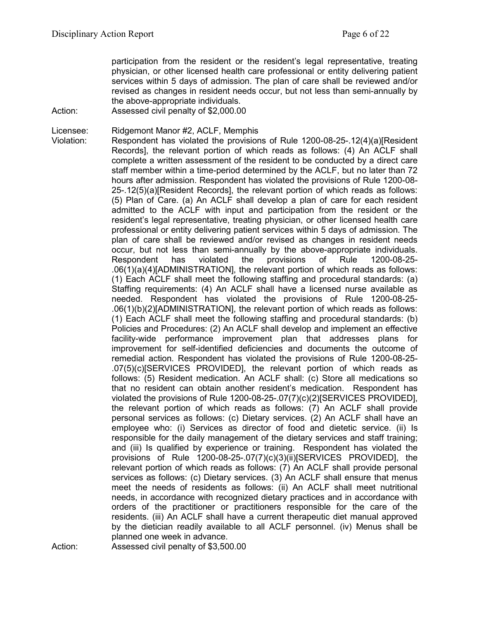participation from the resident or the resident's legal representative, treating physician, or other licensed health care professional or entity delivering patient services within 5 days of admission. The plan of care shall be reviewed and/or revised as changes in resident needs occur, but not less than semi-annually by the above-appropriate individuals.

Action: Assessed civil penalty of \$2,000.00

Licensee: Ridgemont Manor #2, ACLF, Memphis

Violation: Respondent has violated the provisions of Rule 1200-08-25-.12(4)(a)[Resident Records], the relevant portion of which reads as follows: (4) An ACLF shall complete a written assessment of the resident to be conducted by a direct care staff member within a time-period determined by the ACLF, but no later than 72 hours after admission. Respondent has violated the provisions of Rule 1200-08- 25-.12(5)(a)[Resident Records], the relevant portion of which reads as follows: (5) Plan of Care. (a) An ACLF shall develop a plan of care for each resident admitted to the ACLF with input and participation from the resident or the resident's legal representative, treating physician, or other licensed health care professional or entity delivering patient services within 5 days of admission. The plan of care shall be reviewed and/or revised as changes in resident needs occur, but not less than semi-annually by the above-appropriate individuals. Respondent has violated the provisions of Rule 1200-08-25- .06(1)(a)(4)[ADMINISTRATION], the relevant portion of which reads as follows: (1) Each ACLF shall meet the following staffing and procedural standards: (a) Staffing requirements: (4) An ACLF shall have a licensed nurse available as needed. Respondent has violated the provisions of Rule 1200-08-25- .06(1)(b)(2)[ADMINISTRATION], the relevant portion of which reads as follows: (1) Each ACLF shall meet the following staffing and procedural standards: (b) Policies and Procedures: (2) An ACLF shall develop and implement an effective facility-wide performance improvement plan that addresses plans for improvement for self-identified deficiencies and documents the outcome of remedial action. Respondent has violated the provisions of Rule 1200-08-25- .07(5)(c)[SERVICES PROVIDED], the relevant portion of which reads as follows: (5) Resident medication. An ACLF shall: (c) Store all medications so that no resident can obtain another resident's medication. Respondent has violated the provisions of Rule 1200-08-25-.07(7)(c)(2)[SERVICES PROVIDED], the relevant portion of which reads as follows: (7) An ACLF shall provide personal services as follows: (c) Dietary services. (2) An ACLF shall have an employee who: (i) Services as director of food and dietetic service. (ii) Is responsible for the daily management of the dietary services and staff training; and (iii) Is qualified by experience or training. Respondent has violated the provisions of Rule 1200-08-25-.07(7)(c)(3)(ii)[SERVICES PROVIDED], the relevant portion of which reads as follows: (7) An ACLF shall provide personal services as follows: (c) Dietary services. (3) An ACLF shall ensure that menus meet the needs of residents as follows: (ii) An ACLF shall meet nutritional needs, in accordance with recognized dietary practices and in accordance with orders of the practitioner or practitioners responsible for the care of the residents. (iii) An ACLF shall have a current therapeutic diet manual approved by the dietician readily available to all ACLF personnel. (iv) Menus shall be planned one week in advance.

Action: Assessed civil penalty of \$3,500.00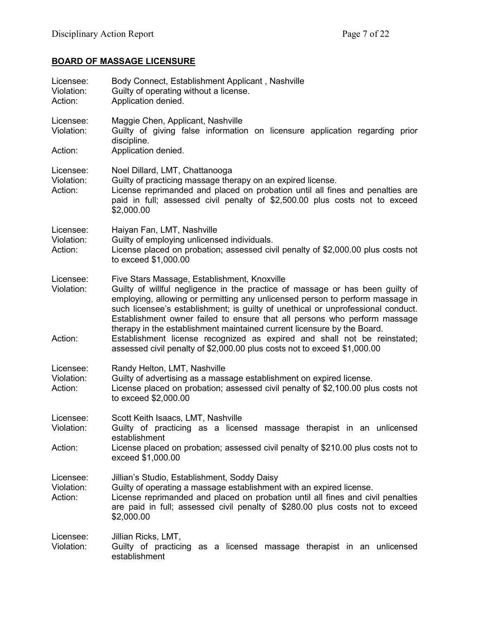# **BOARD OF MASSAGE LICENSURE**

| Licensee:<br>Violation:<br>Action: | Body Connect, Establishment Applicant, Nashville<br>Guilty of operating without a license.<br>Application denied.                                                                                                                                                                                                                                                                                                                                                                                                                                                                                                  |
|------------------------------------|--------------------------------------------------------------------------------------------------------------------------------------------------------------------------------------------------------------------------------------------------------------------------------------------------------------------------------------------------------------------------------------------------------------------------------------------------------------------------------------------------------------------------------------------------------------------------------------------------------------------|
| Licensee:<br>Violation:            | Maggie Chen, Applicant, Nashville<br>Guilty of giving false information on licensure application regarding prior<br>discipline.                                                                                                                                                                                                                                                                                                                                                                                                                                                                                    |
| Action:                            | Application denied.                                                                                                                                                                                                                                                                                                                                                                                                                                                                                                                                                                                                |
| Licensee:<br>Violation:<br>Action: | Noel Dillard, LMT, Chattanooga<br>Guilty of practicing massage therapy on an expired license.<br>License reprimanded and placed on probation until all fines and penalties are<br>paid in full; assessed civil penalty of \$2,500.00 plus costs not to exceed<br>\$2,000.00                                                                                                                                                                                                                                                                                                                                        |
| Licensee:<br>Violation:<br>Action: | Haiyan Fan, LMT, Nashville<br>Guilty of employing unlicensed individuals.<br>License placed on probation; assessed civil penalty of \$2,000.00 plus costs not<br>to exceed \$1,000.00                                                                                                                                                                                                                                                                                                                                                                                                                              |
| Licensee:<br>Violation:<br>Action: | Five Stars Massage, Establishment, Knoxville<br>Guilty of willful negligence in the practice of massage or has been guilty of<br>employing, allowing or permitting any unlicensed person to perform massage in<br>such licensee's establishment; is guilty of unethical or unprofessional conduct.<br>Establishment owner failed to ensure that all persons who perform massage<br>therapy in the establishment maintained current licensure by the Board.<br>Establishment license recognized as expired and shall not be reinstated;<br>assessed civil penalty of \$2,000.00 plus costs not to exceed \$1,000.00 |
| Licensee:<br>Violation:<br>Action: | Randy Helton, LMT, Nashville<br>Guilty of advertising as a massage establishment on expired license.<br>License placed on probation; assessed civil penalty of \$2,100.00 plus costs not<br>to exceed \$2,000.00                                                                                                                                                                                                                                                                                                                                                                                                   |
| Licensee:<br>Violation:            | Scott Keith Isaacs, LMT, Nashville<br>Guilty of practicing as a licensed massage therapist in an unlicensed<br>establishment                                                                                                                                                                                                                                                                                                                                                                                                                                                                                       |
| Action:                            | License placed on probation; assessed civil penalty of \$210.00 plus costs not to<br>exceed \$1,000.00                                                                                                                                                                                                                                                                                                                                                                                                                                                                                                             |
| Licensee:<br>Violation:<br>Action: | Jillian's Studio, Establishment, Soddy Daisy<br>Guilty of operating a massage establishment with an expired license.<br>License reprimanded and placed on probation until all fines and civil penalties<br>are paid in full; assessed civil penalty of \$280.00 plus costs not to exceed<br>\$2,000.00                                                                                                                                                                                                                                                                                                             |
| Licensee:<br>Violation:            | Jillian Ricks, LMT,<br>Guilty of practicing as a licensed massage therapist in an unlicensed<br>establishment                                                                                                                                                                                                                                                                                                                                                                                                                                                                                                      |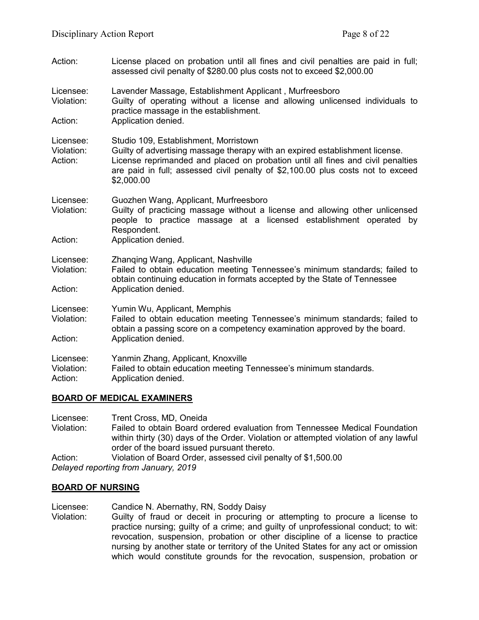- Action: License placed on probation until all fines and civil penalties are paid in full; assessed civil penalty of \$280.00 plus costs not to exceed \$2,000.00
- Licensee: Lavender Massage, Establishment Applicant , Murfreesboro Violation: Guilty of operating without a license and allowing unlicensed individuals to practice massage in the establishment. Action: Application denied.

Licensee: Studio 109, Establishment, Morristown Violation: Guilty of advertising massage therapy with an expired establishment license.<br>Action: License reprimanded and placed on probation until all fines and civil penal License reprimanded and placed on probation until all fines and civil penalties are paid in full; assessed civil penalty of \$2,100.00 plus costs not to exceed \$2,000.00

- Licensee: Guozhen Wang, Applicant, Murfreesboro Violation: Guilty of practicing massage without a license and allowing other unlicensed people to practice massage at a licensed establishment operated by Respondent.
- Action: **Application denied.**
- Licensee: Zhanqing Wang, Applicant, Nashville
- Violation: Failed to obtain education meeting Tennessee's minimum standards; failed to obtain continuing education in formats accepted by the State of Tennessee Action: Application denied.
- Licensee: Yumin Wu, Applicant, Memphis

Violation: Failed to obtain education meeting Tennessee's minimum standards; failed to obtain a passing score on a competency examination approved by the board. Action: Application denied.

| Licensee: |  | Yanmin Zhang, Applicant, Knoxville |
|-----------|--|------------------------------------|
|-----------|--|------------------------------------|

Violation: Failed to obtain education meeting Tennessee's minimum standards.

Action: Application denied.

## **BOARD OF MEDICAL EXAMINERS**

Licensee: Trent Cross, MD, Oneida Violation: Failed to obtain Board ordered evaluation from Tennessee Medical Foundation within thirty (30) days of the Order. Violation or attempted violation of any lawful order of the board issued pursuant thereto. Action: Violation of Board Order, assessed civil penalty of \$1,500.00 *Delayed reporting from January, 2019*

## **BOARD OF NURSING**

Licensee: Candice N. Abernathy, RN, Soddy Daisy

Violation: Guilty of fraud or deceit in procuring or attempting to procure a license to practice nursing; guilty of a crime; and guilty of unprofessional conduct; to wit: revocation, suspension, probation or other discipline of a license to practice nursing by another state or territory of the United States for any act or omission which would constitute grounds for the revocation, suspension, probation or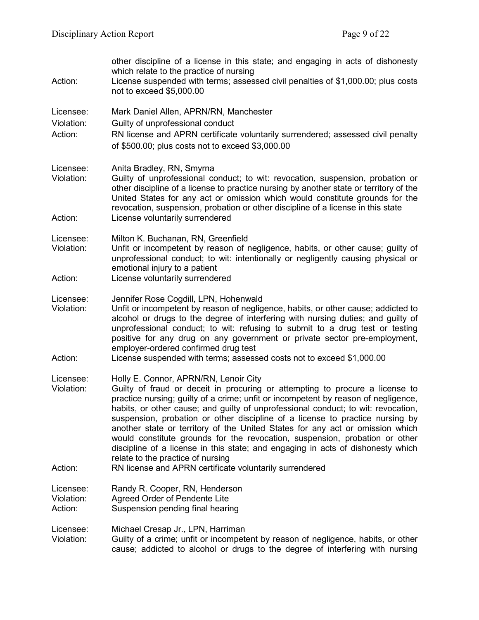| Action:                            | other discipline of a license in this state; and engaging in acts of dishonesty<br>which relate to the practice of nursing<br>License suspended with terms; assessed civil penalties of \$1,000.00; plus costs<br>not to exceed \$5,000.00                                                                                                                                                                                                                                                                                                                                                                                                                                                                                           |
|------------------------------------|--------------------------------------------------------------------------------------------------------------------------------------------------------------------------------------------------------------------------------------------------------------------------------------------------------------------------------------------------------------------------------------------------------------------------------------------------------------------------------------------------------------------------------------------------------------------------------------------------------------------------------------------------------------------------------------------------------------------------------------|
| Licensee:<br>Violation:<br>Action: | Mark Daniel Allen, APRN/RN, Manchester<br>Guilty of unprofessional conduct<br>RN license and APRN certificate voluntarily surrendered; assessed civil penalty<br>of \$500.00; plus costs not to exceed \$3,000.00                                                                                                                                                                                                                                                                                                                                                                                                                                                                                                                    |
| Licensee:<br>Violation:<br>Action: | Anita Bradley, RN, Smyrna<br>Guilty of unprofessional conduct; to wit: revocation, suspension, probation or<br>other discipline of a license to practice nursing by another state or territory of the<br>United States for any act or omission which would constitute grounds for the<br>revocation, suspension, probation or other discipline of a license in this state<br>License voluntarily surrendered                                                                                                                                                                                                                                                                                                                         |
|                                    |                                                                                                                                                                                                                                                                                                                                                                                                                                                                                                                                                                                                                                                                                                                                      |
| Licensee:<br>Violation:            | Milton K. Buchanan, RN, Greenfield<br>Unfit or incompetent by reason of negligence, habits, or other cause; guilty of<br>unprofessional conduct; to wit: intentionally or negligently causing physical or<br>emotional injury to a patient                                                                                                                                                                                                                                                                                                                                                                                                                                                                                           |
| Action:                            | License voluntarily surrendered                                                                                                                                                                                                                                                                                                                                                                                                                                                                                                                                                                                                                                                                                                      |
| Licensee:<br>Violation:<br>Action: | Jennifer Rose Cogdill, LPN, Hohenwald<br>Unfit or incompetent by reason of negligence, habits, or other cause; addicted to<br>alcohol or drugs to the degree of interfering with nursing duties; and guilty of<br>unprofessional conduct; to wit: refusing to submit to a drug test or testing<br>positive for any drug on any government or private sector pre-employment,<br>employer-ordered confirmed drug test<br>License suspended with terms; assessed costs not to exceed \$1,000.00                                                                                                                                                                                                                                         |
| Licensee:<br>Violation:<br>Action: | Holly E. Connor, APRN/RN, Lenoir City<br>Guilty of fraud or deceit in procuring or attempting to procure a license to<br>practice nursing; guilty of a crime; unfit or incompetent by reason of negligence,<br>habits, or other cause; and guilty of unprofessional conduct; to wit: revocation,<br>suspension, probation or other discipline of a license to practice nursing by<br>another state or territory of the United States for any act or omission which<br>would constitute grounds for the revocation, suspension, probation or other<br>discipline of a license in this state; and engaging in acts of dishonesty which<br>relate to the practice of nursing<br>RN license and APRN certificate voluntarily surrendered |
| Licensee:<br>Violation:<br>Action: | Randy R. Cooper, RN, Henderson<br><b>Agreed Order of Pendente Lite</b><br>Suspension pending final hearing                                                                                                                                                                                                                                                                                                                                                                                                                                                                                                                                                                                                                           |
| Licensee:<br>Violation:            | Michael Cresap Jr., LPN, Harriman<br>Guilty of a crime; unfit or incompetent by reason of negligence, habits, or other<br>cause; addicted to alcohol or drugs to the degree of interfering with nursing                                                                                                                                                                                                                                                                                                                                                                                                                                                                                                                              |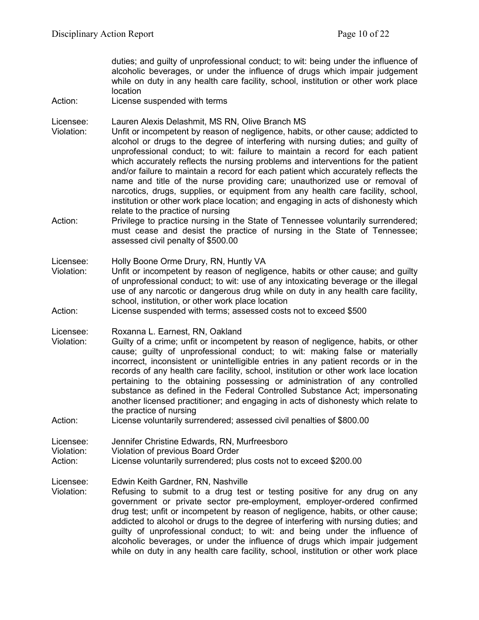duties; and guilty of unprofessional conduct; to wit: being under the influence of alcoholic beverages, or under the influence of drugs which impair judgement while on duty in any health care facility, school, institution or other work place location

Action: License suspended with terms

Licensee: Lauren Alexis Delashmit, MS RN, Olive Branch MS

- Violation: Unfit or incompetent by reason of negligence, habits, or other cause; addicted to alcohol or drugs to the degree of interfering with nursing duties; and guilty of unprofessional conduct; to wit: failure to maintain a record for each patient which accurately reflects the nursing problems and interventions for the patient and/or failure to maintain a record for each patient which accurately reflects the name and title of the nurse providing care; unauthorized use or removal of narcotics, drugs, supplies, or equipment from any health care facility, school, institution or other work place location; and engaging in acts of dishonesty which relate to the practice of nursing
- Action: Privilege to practice nursing in the State of Tennessee voluntarily surrendered; must cease and desist the practice of nursing in the State of Tennessee; assessed civil penalty of \$500.00

Licensee: Holly Boone Orme Drury, RN, Huntly VA

- Violation: Unfit or incompetent by reason of negligence, habits or other cause; and guilty of unprofessional conduct; to wit: use of any intoxicating beverage or the illegal use of any narcotic or dangerous drug while on duty in any health care facility, school, institution, or other work place location
- Action: License suspended with terms; assessed costs not to exceed \$500

Licensee: Roxanna L. Earnest, RN, Oakland

Violation: Guilty of a crime; unfit or incompetent by reason of negligence, habits, or other cause; guilty of unprofessional conduct; to wit: making false or materially incorrect, inconsistent or unintelligible entries in any patient records or in the records of any health care facility, school, institution or other work lace location pertaining to the obtaining possessing or administration of any controlled substance as defined in the Federal Controlled Substance Act; impersonating another licensed practitioner; and engaging in acts of dishonesty which relate to the practice of nursing

Action: License voluntarily surrendered; assessed civil penalties of \$800.00

Licensee: Jennifer Christine Edwards, RN, Murfreesboro

Violation: Violation of previous Board Order

Action: License voluntarily surrendered; plus costs not to exceed \$200.00

Licensee: Edwin Keith Gardner, RN, Nashville

Violation: Refusing to submit to a drug test or testing positive for any drug on any government or private sector pre-employment, employer-ordered confirmed drug test; unfit or incompetent by reason of negligence, habits, or other cause; addicted to alcohol or drugs to the degree of interfering with nursing duties; and guilty of unprofessional conduct; to wit: and being under the influence of alcoholic beverages, or under the influence of drugs which impair judgement while on duty in any health care facility, school, institution or other work place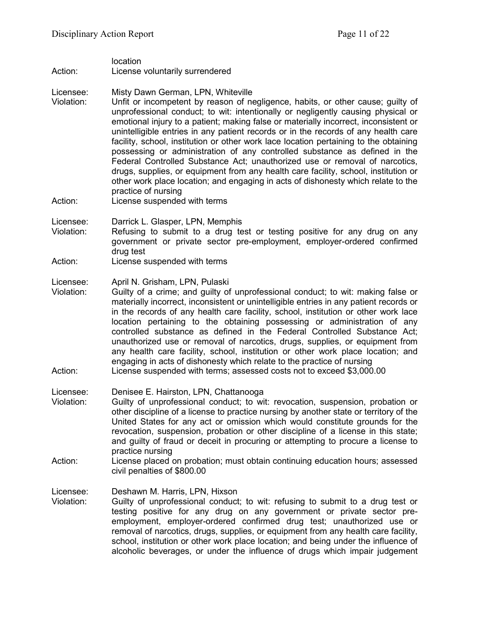location

Action: License voluntarily surrendered

Licensee: Misty Dawn German, LPN, Whiteville<br>Violation: Unfit or incompetent by reason of ne

- Unfit or incompetent by reason of negligence, habits, or other cause; guilty of unprofessional conduct; to wit: intentionally or negligently causing physical or emotional injury to a patient; making false or materially incorrect, inconsistent or unintelligible entries in any patient records or in the records of any health care facility, school, institution or other work lace location pertaining to the obtaining possessing or administration of any controlled substance as defined in the Federal Controlled Substance Act; unauthorized use or removal of narcotics, drugs, supplies, or equipment from any health care facility, school, institution or other work place location; and engaging in acts of dishonesty which relate to the practice of nursing
- Action: License suspended with terms

Licensee: Darrick L. Glasper, LPN, Memphis

- Violation: Refusing to submit to a drug test or testing positive for any drug on any government or private sector pre-employment, employer-ordered confirmed drug test
- Action: License suspended with terms

Licensee: April N. Grisham, LPN, Pulaski

- Violation: Guilty of a crime; and guilty of unprofessional conduct; to wit: making false or materially incorrect, inconsistent or unintelligible entries in any patient records or in the records of any health care facility, school, institution or other work lace location pertaining to the obtaining possessing or administration of any controlled substance as defined in the Federal Controlled Substance Act; unauthorized use or removal of narcotics, drugs, supplies, or equipment from any health care facility, school, institution or other work place location; and engaging in acts of dishonesty which relate to the practice of nursing
- Action: License suspended with terms; assessed costs not to exceed \$3,000.00

Licensee: Denisee E. Hairston, LPN, Chattanooga

- Violation: Guilty of unprofessional conduct; to wit: revocation, suspension, probation or other discipline of a license to practice nursing by another state or territory of the United States for any act or omission which would constitute grounds for the revocation, suspension, probation or other discipline of a license in this state; and guilty of fraud or deceit in procuring or attempting to procure a license to practice nursing
- Action: License placed on probation; must obtain continuing education hours; assessed civil penalties of \$800.00

Licensee: Deshawn M. Harris, LPN, Hixson

Violation: Guilty of unprofessional conduct; to wit: refusing to submit to a drug test or testing positive for any drug on any government or private sector preemployment, employer-ordered confirmed drug test; unauthorized use or removal of narcotics, drugs, supplies, or equipment from any health care facility, school, institution or other work place location; and being under the influence of alcoholic beverages, or under the influence of drugs which impair judgement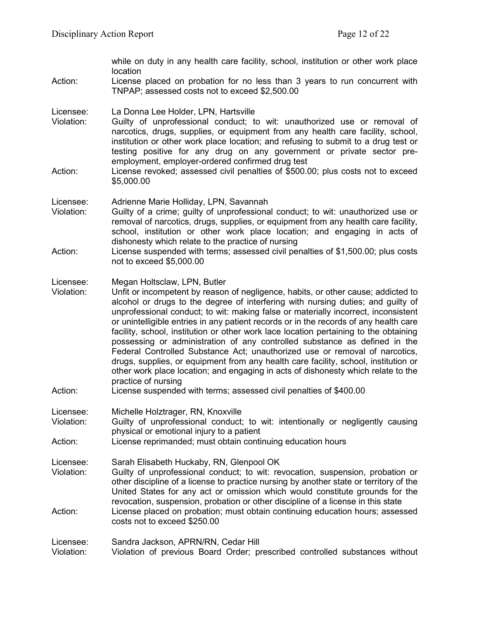|                                    | while on duty in any health care facility, school, institution or other work place<br>location                                                                                                                                                                                                                                                                                                                                                                                                                                                                                                                                                                                                                                                                                                                                                |  |
|------------------------------------|-----------------------------------------------------------------------------------------------------------------------------------------------------------------------------------------------------------------------------------------------------------------------------------------------------------------------------------------------------------------------------------------------------------------------------------------------------------------------------------------------------------------------------------------------------------------------------------------------------------------------------------------------------------------------------------------------------------------------------------------------------------------------------------------------------------------------------------------------|--|
| Action:                            | License placed on probation for no less than 3 years to run concurrent with<br>TNPAP; assessed costs not to exceed \$2,500.00                                                                                                                                                                                                                                                                                                                                                                                                                                                                                                                                                                                                                                                                                                                 |  |
| Licensee:<br>Violation:<br>Action: | La Donna Lee Holder, LPN, Hartsville<br>Guilty of unprofessional conduct; to wit: unauthorized use or removal of<br>narcotics, drugs, supplies, or equipment from any health care facility, school,<br>institution or other work place location; and refusing to submit to a drug test or<br>testing positive for any drug on any government or private sector pre-<br>employment, employer-ordered confirmed drug test<br>License revoked; assessed civil penalties of \$500.00; plus costs not to exceed<br>\$5,000.00                                                                                                                                                                                                                                                                                                                      |  |
|                                    |                                                                                                                                                                                                                                                                                                                                                                                                                                                                                                                                                                                                                                                                                                                                                                                                                                               |  |
| Licensee:<br>Violation:            | Adrienne Marie Holliday, LPN, Savannah<br>Guilty of a crime; guilty of unprofessional conduct; to wit: unauthorized use or<br>removal of narcotics, drugs, supplies, or equipment from any health care facility,<br>school, institution or other work place location; and engaging in acts of<br>dishonesty which relate to the practice of nursing                                                                                                                                                                                                                                                                                                                                                                                                                                                                                           |  |
| Action:                            | License suspended with terms; assessed civil penalties of \$1,500.00; plus costs<br>not to exceed \$5,000.00                                                                                                                                                                                                                                                                                                                                                                                                                                                                                                                                                                                                                                                                                                                                  |  |
| Licensee:<br>Violation:<br>Action: | Megan Holtsclaw, LPN, Butler<br>Unfit or incompetent by reason of negligence, habits, or other cause; addicted to<br>alcohol or drugs to the degree of interfering with nursing duties; and guilty of<br>unprofessional conduct; to wit: making false or materially incorrect, inconsistent<br>or unintelligible entries in any patient records or in the records of any health care<br>facility, school, institution or other work lace location pertaining to the obtaining<br>possessing or administration of any controlled substance as defined in the<br>Federal Controlled Substance Act; unauthorized use or removal of narcotics,<br>drugs, supplies, or equipment from any health care facility, school, institution or<br>other work place location; and engaging in acts of dishonesty which relate to the<br>practice of nursing |  |
|                                    | License suspended with terms; assessed civil penalties of \$400.00                                                                                                                                                                                                                                                                                                                                                                                                                                                                                                                                                                                                                                                                                                                                                                            |  |
| Licensee:<br>Violation:            | Michelle Holztrager, RN, Knoxville<br>Guilty of unprofessional conduct; to wit: intentionally or negligently causing<br>physical or emotional injury to a patient                                                                                                                                                                                                                                                                                                                                                                                                                                                                                                                                                                                                                                                                             |  |
| Action:                            | License reprimanded; must obtain continuing education hours                                                                                                                                                                                                                                                                                                                                                                                                                                                                                                                                                                                                                                                                                                                                                                                   |  |
| Licensee:<br>Violation:<br>Action: | Sarah Elisabeth Huckaby, RN, Glenpool OK<br>Guilty of unprofessional conduct; to wit: revocation, suspension, probation or<br>other discipline of a license to practice nursing by another state or territory of the<br>United States for any act or omission which would constitute grounds for the<br>revocation, suspension, probation or other discipline of a license in this state<br>License placed on probation; must obtain continuing education hours; assessed<br>costs not to exceed \$250.00                                                                                                                                                                                                                                                                                                                                     |  |
| Licensee:<br>Violation:            | Sandra Jackson, APRN/RN, Cedar Hill<br>Violation of previous Board Order; prescribed controlled substances without                                                                                                                                                                                                                                                                                                                                                                                                                                                                                                                                                                                                                                                                                                                            |  |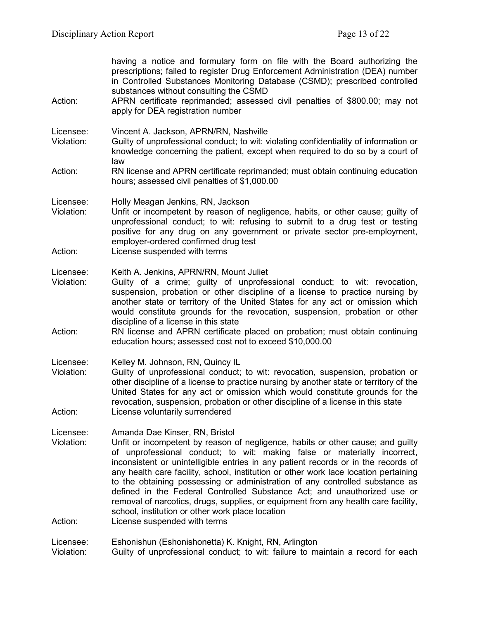| Action:                            | having a notice and formulary form on file with the Board authorizing the<br>prescriptions; failed to register Drug Enforcement Administration (DEA) number<br>in Controlled Substances Monitoring Database (CSMD); prescribed controlled<br>substances without consulting the CSMD<br>APRN certificate reprimanded; assessed civil penalties of \$800.00; may not<br>apply for DEA registration number                                                                                                                                                                                                                                                                                                           |
|------------------------------------|-------------------------------------------------------------------------------------------------------------------------------------------------------------------------------------------------------------------------------------------------------------------------------------------------------------------------------------------------------------------------------------------------------------------------------------------------------------------------------------------------------------------------------------------------------------------------------------------------------------------------------------------------------------------------------------------------------------------|
| Licensee:<br>Violation:            | Vincent A. Jackson, APRN/RN, Nashville<br>Guilty of unprofessional conduct; to wit: violating confidentiality of information or<br>knowledge concerning the patient, except when required to do so by a court of<br>law                                                                                                                                                                                                                                                                                                                                                                                                                                                                                           |
| Action:                            | RN license and APRN certificate reprimanded; must obtain continuing education<br>hours; assessed civil penalties of \$1,000.00                                                                                                                                                                                                                                                                                                                                                                                                                                                                                                                                                                                    |
| Licensee:<br>Violation:            | Holly Meagan Jenkins, RN, Jackson<br>Unfit or incompetent by reason of negligence, habits, or other cause; guilty of<br>unprofessional conduct; to wit: refusing to submit to a drug test or testing<br>positive for any drug on any government or private sector pre-employment,<br>employer-ordered confirmed drug test                                                                                                                                                                                                                                                                                                                                                                                         |
| Action:                            | License suspended with terms                                                                                                                                                                                                                                                                                                                                                                                                                                                                                                                                                                                                                                                                                      |
| Licensee:<br>Violation:            | Keith A. Jenkins, APRN/RN, Mount Juliet<br>Guilty of a crime; guilty of unprofessional conduct; to wit: revocation,<br>suspension, probation or other discipline of a license to practice nursing by<br>another state or territory of the United States for any act or omission which<br>would constitute grounds for the revocation, suspension, probation or other<br>discipline of a license in this state                                                                                                                                                                                                                                                                                                     |
| Action:                            | RN license and APRN certificate placed on probation; must obtain continuing<br>education hours; assessed cost not to exceed \$10,000.00                                                                                                                                                                                                                                                                                                                                                                                                                                                                                                                                                                           |
| Licensee:<br>Violation:            | Kelley M. Johnson, RN, Quincy IL<br>Guilty of unprofessional conduct; to wit: revocation, suspension, probation or<br>other discipline of a license to practice nursing by another state or territory of the<br>United States for any act or omission which would constitute grounds for the<br>revocation, suspension, probation or other discipline of a license in this state                                                                                                                                                                                                                                                                                                                                  |
| Action:                            | License voluntarily surrendered                                                                                                                                                                                                                                                                                                                                                                                                                                                                                                                                                                                                                                                                                   |
| Licensee:<br>Violation:<br>Action: | Amanda Dae Kinser, RN, Bristol<br>Unfit or incompetent by reason of negligence, habits or other cause; and guilty<br>of unprofessional conduct; to wit: making false or materially incorrect,<br>inconsistent or unintelligible entries in any patient records or in the records of<br>any health care facility, school, institution or other work lace location pertaining<br>to the obtaining possessing or administration of any controlled substance as<br>defined in the Federal Controlled Substance Act; and unauthorized use or<br>removal of narcotics, drugs, supplies, or equipment from any health care facility,<br>school, institution or other work place location<br>License suspended with terms |
| Licensee:<br>Violation:            | Eshonishun (Eshonishonetta) K. Knight, RN, Arlington<br>Guilty of unprofessional conduct; to wit: failure to maintain a record for each                                                                                                                                                                                                                                                                                                                                                                                                                                                                                                                                                                           |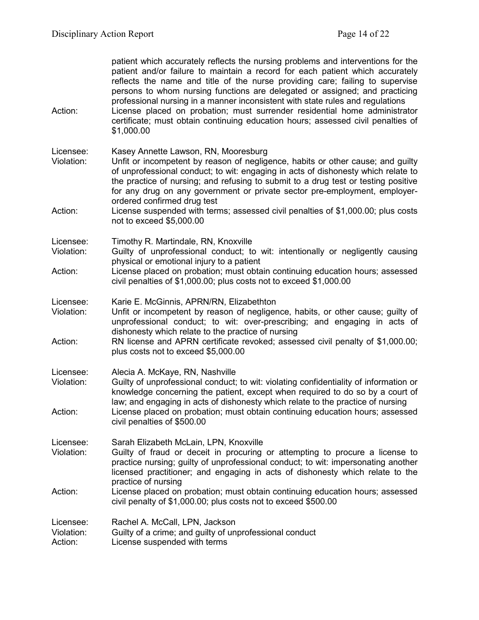| Action:                            | patient which accurately reflects the nursing problems and interventions for the<br>patient and/or failure to maintain a record for each patient which accurately<br>reflects the name and title of the nurse providing care; failing to supervise<br>persons to whom nursing functions are delegated or assigned; and practicing<br>professional nursing in a manner inconsistent with state rules and regulations<br>License placed on probation; must surrender residential home administrator<br>certificate; must obtain continuing education hours; assessed civil penalties of<br>\$1,000.00 |
|------------------------------------|-----------------------------------------------------------------------------------------------------------------------------------------------------------------------------------------------------------------------------------------------------------------------------------------------------------------------------------------------------------------------------------------------------------------------------------------------------------------------------------------------------------------------------------------------------------------------------------------------------|
| Licensee:<br>Violation:<br>Action: | Kasey Annette Lawson, RN, Mooresburg<br>Unfit or incompetent by reason of negligence, habits or other cause; and guilty<br>of unprofessional conduct; to wit: engaging in acts of dishonesty which relate to<br>the practice of nursing; and refusing to submit to a drug test or testing positive<br>for any drug on any government or private sector pre-employment, employer-<br>ordered confirmed drug test<br>License suspended with terms; assessed civil penalties of \$1,000.00; plus costs                                                                                                 |
|                                    | not to exceed \$5,000.00                                                                                                                                                                                                                                                                                                                                                                                                                                                                                                                                                                            |
| Licensee:<br>Violation:<br>Action: | Timothy R. Martindale, RN, Knoxville<br>Guilty of unprofessional conduct; to wit: intentionally or negligently causing<br>physical or emotional injury to a patient<br>License placed on probation; must obtain continuing education hours; assessed<br>civil penalties of \$1,000.00; plus costs not to exceed \$1,000.00                                                                                                                                                                                                                                                                          |
| Licensee:<br>Violation:<br>Action: | Karie E. McGinnis, APRN/RN, Elizabethton<br>Unfit or incompetent by reason of negligence, habits, or other cause; guilty of<br>unprofessional conduct; to wit: over-prescribing; and engaging in acts of<br>dishonesty which relate to the practice of nursing<br>RN license and APRN certificate revoked; assessed civil penalty of \$1,000.00;<br>plus costs not to exceed \$5,000.00                                                                                                                                                                                                             |
| Licensee:<br>Violation:<br>Action: | Alecia A. McKaye, RN, Nashville<br>Guilty of unprofessional conduct; to wit: violating confidentiality of information or<br>knowledge concerning the patient, except when required to do so by a court of<br>law; and engaging in acts of dishonesty which relate to the practice of nursing<br>License placed on probation; must obtain continuing education hours; assessed<br>civil penalties of \$500.00                                                                                                                                                                                        |
| Licensee:<br>Violation:            | Sarah Elizabeth McLain, LPN, Knoxville<br>Guilty of fraud or deceit in procuring or attempting to procure a license to<br>practice nursing; guilty of unprofessional conduct; to wit: impersonating another<br>licensed practitioner; and engaging in acts of dishonesty which relate to the<br>practice of nursing                                                                                                                                                                                                                                                                                 |
| Action:                            | License placed on probation; must obtain continuing education hours; assessed<br>civil penalty of \$1,000.00; plus costs not to exceed \$500.00                                                                                                                                                                                                                                                                                                                                                                                                                                                     |
| Licensee:<br>Violation:<br>Action: | Rachel A. McCall, LPN, Jackson<br>Guilty of a crime; and guilty of unprofessional conduct<br>License suspended with terms                                                                                                                                                                                                                                                                                                                                                                                                                                                                           |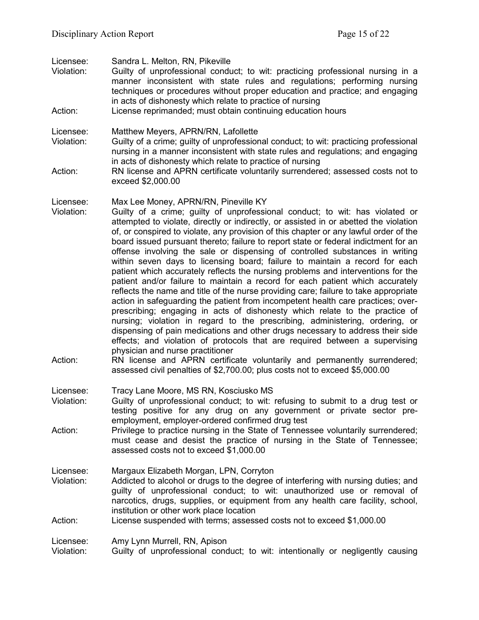| Licensee:<br>Violation:<br>Action: | Sandra L. Melton, RN, Pikeville<br>Guilty of unprofessional conduct; to wit: practicing professional nursing in a<br>manner inconsistent with state rules and regulations; performing nursing<br>techniques or procedures without proper education and practice; and engaging<br>in acts of dishonesty which relate to practice of nursing<br>License reprimanded; must obtain continuing education hours                                                                                                                                                                                                                                                                                                                                                                                                                                                                                                                                                                                                                                                                                                                                                                                                                                                                                                                                                                                                                                    |
|------------------------------------|----------------------------------------------------------------------------------------------------------------------------------------------------------------------------------------------------------------------------------------------------------------------------------------------------------------------------------------------------------------------------------------------------------------------------------------------------------------------------------------------------------------------------------------------------------------------------------------------------------------------------------------------------------------------------------------------------------------------------------------------------------------------------------------------------------------------------------------------------------------------------------------------------------------------------------------------------------------------------------------------------------------------------------------------------------------------------------------------------------------------------------------------------------------------------------------------------------------------------------------------------------------------------------------------------------------------------------------------------------------------------------------------------------------------------------------------|
| Licensee:<br>Violation:<br>Action: | Matthew Meyers, APRN/RN, Lafollette<br>Guilty of a crime; guilty of unprofessional conduct; to wit: practicing professional<br>nursing in a manner inconsistent with state rules and regulations; and engaging<br>in acts of dishonesty which relate to practice of nursing<br>RN license and APRN certificate voluntarily surrendered; assessed costs not to<br>exceed \$2,000.00                                                                                                                                                                                                                                                                                                                                                                                                                                                                                                                                                                                                                                                                                                                                                                                                                                                                                                                                                                                                                                                           |
| Licensee:<br>Violation:<br>Action: | Max Lee Money, APRN/RN, Pineville KY<br>Guilty of a crime; guilty of unprofessional conduct; to wit: has violated or<br>attempted to violate, directly or indirectly, or assisted in or abetted the violation<br>of, or conspired to violate, any provision of this chapter or any lawful order of the<br>board issued pursuant thereto; failure to report state or federal indictment for an<br>offense involving the sale or dispensing of controlled substances in writing<br>within seven days to licensing board; failure to maintain a record for each<br>patient which accurately reflects the nursing problems and interventions for the<br>patient and/or failure to maintain a record for each patient which accurately<br>reflects the name and title of the nurse providing care; failure to take appropriate<br>action in safeguarding the patient from incompetent health care practices; over-<br>prescribing; engaging in acts of dishonesty which relate to the practice of<br>nursing; violation in regard to the prescribing, administering, ordering, or<br>dispensing of pain medications and other drugs necessary to address their side<br>effects; and violation of protocols that are required between a supervising<br>physician and nurse practitioner<br>RN license and APRN certificate voluntarily and permanently surrendered;<br>assessed civil penalties of \$2,700.00; plus costs not to exceed \$5,000.00 |
| Licensee:<br>Violation:            | Tracy Lane Moore, MS RN, Kosciusko MS<br>Guilty of unprofessional conduct; to wit: refusing to submit to a drug test or<br>testing positive for any drug on any government or private sector pre-<br>employment, employer-ordered confirmed drug test                                                                                                                                                                                                                                                                                                                                                                                                                                                                                                                                                                                                                                                                                                                                                                                                                                                                                                                                                                                                                                                                                                                                                                                        |
| Action:                            | Privilege to practice nursing in the State of Tennessee voluntarily surrendered;<br>must cease and desist the practice of nursing in the State of Tennessee;<br>assessed costs not to exceed \$1,000.00                                                                                                                                                                                                                                                                                                                                                                                                                                                                                                                                                                                                                                                                                                                                                                                                                                                                                                                                                                                                                                                                                                                                                                                                                                      |
| Licensee:<br>Violation:<br>Action: | Margaux Elizabeth Morgan, LPN, Corryton<br>Addicted to alcohol or drugs to the degree of interfering with nursing duties; and<br>guilty of unprofessional conduct; to wit: unauthorized use or removal of<br>narcotics, drugs, supplies, or equipment from any health care facility, school,<br>institution or other work place location<br>License suspended with terms; assessed costs not to exceed \$1,000.00                                                                                                                                                                                                                                                                                                                                                                                                                                                                                                                                                                                                                                                                                                                                                                                                                                                                                                                                                                                                                            |
| Licensee:<br>Violation:            | Amy Lynn Murrell, RN, Apison<br>Guilty of unprofessional conduct; to wit: intentionally or negligently causing                                                                                                                                                                                                                                                                                                                                                                                                                                                                                                                                                                                                                                                                                                                                                                                                                                                                                                                                                                                                                                                                                                                                                                                                                                                                                                                               |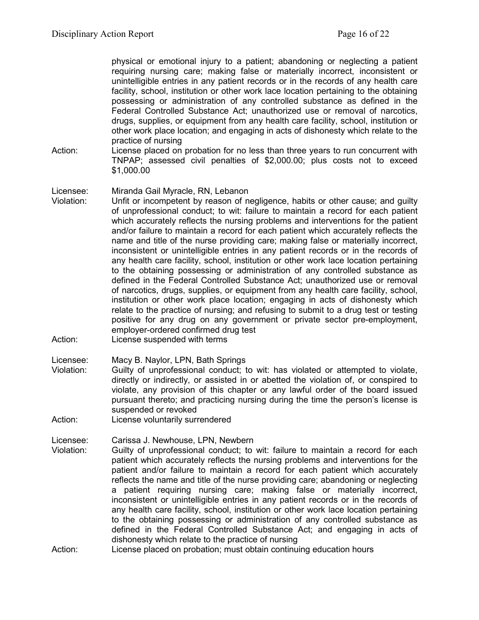physical or emotional injury to a patient; abandoning or neglecting a patient requiring nursing care; making false or materially incorrect, inconsistent or unintelligible entries in any patient records or in the records of any health care facility, school, institution or other work lace location pertaining to the obtaining possessing or administration of any controlled substance as defined in the Federal Controlled Substance Act; unauthorized use or removal of narcotics, drugs, supplies, or equipment from any health care facility, school, institution or other work place location; and engaging in acts of dishonesty which relate to the practice of nursing

Action: License placed on probation for no less than three years to run concurrent with TNPAP; assessed civil penalties of \$2,000.00; plus costs not to exceed \$1,000.00

### Licensee: Miranda Gail Myracle, RN, Lebanon

- Violation: Unfit or incompetent by reason of negligence, habits or other cause; and guilty of unprofessional conduct; to wit: failure to maintain a record for each patient which accurately reflects the nursing problems and interventions for the patient and/or failure to maintain a record for each patient which accurately reflects the name and title of the nurse providing care; making false or materially incorrect, inconsistent or unintelligible entries in any patient records or in the records of any health care facility, school, institution or other work lace location pertaining to the obtaining possessing or administration of any controlled substance as defined in the Federal Controlled Substance Act; unauthorized use or removal of narcotics, drugs, supplies, or equipment from any health care facility, school, institution or other work place location; engaging in acts of dishonesty which relate to the practice of nursing; and refusing to submit to a drug test or testing positive for any drug on any government or private sector pre-employment, employer-ordered confirmed drug test
- Action: License suspended with terms

Licensee: Macy B. Naylor, LPN, Bath Springs

- Violation: Guilty of unprofessional conduct; to wit: has violated or attempted to violate, directly or indirectly, or assisted in or abetted the violation of, or conspired to violate, any provision of this chapter or any lawful order of the board issued pursuant thereto; and practicing nursing during the time the person's license is suspended or revoked
- Action: License voluntarily surrendered
- 
- Licensee: Carissa J. Newhouse, LPN, Newbern<br>Violation: Guilty of unprofessional conduct; to Guilty of unprofessional conduct; to wit: failure to maintain a record for each patient which accurately reflects the nursing problems and interventions for the patient and/or failure to maintain a record for each patient which accurately reflects the name and title of the nurse providing care; abandoning or neglecting a patient requiring nursing care; making false or materially incorrect, inconsistent or unintelligible entries in any patient records or in the records of any health care facility, school, institution or other work lace location pertaining to the obtaining possessing or administration of any controlled substance as defined in the Federal Controlled Substance Act; and engaging in acts of dishonesty which relate to the practice of nursing
- Action: License placed on probation; must obtain continuing education hours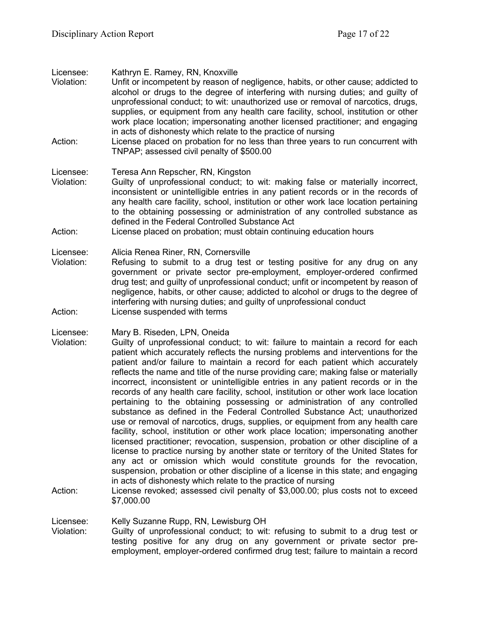| Licensee:<br>Violation:            | Kathryn E. Ramey, RN, Knoxville<br>Unfit or incompetent by reason of negligence, habits, or other cause; addicted to<br>alcohol or drugs to the degree of interfering with nursing duties; and guilty of<br>unprofessional conduct; to wit: unauthorized use or removal of narcotics, drugs,<br>supplies, or equipment from any health care facility, school, institution or other<br>work place location; impersonating another licensed practitioner; and engaging<br>in acts of dishonesty which relate to the practice of nursing                                                                                                                                                                                                                                                                                                                                                                                                                                                                                                                                                                                                                                                                                                                                                                                                                                                        |
|------------------------------------|----------------------------------------------------------------------------------------------------------------------------------------------------------------------------------------------------------------------------------------------------------------------------------------------------------------------------------------------------------------------------------------------------------------------------------------------------------------------------------------------------------------------------------------------------------------------------------------------------------------------------------------------------------------------------------------------------------------------------------------------------------------------------------------------------------------------------------------------------------------------------------------------------------------------------------------------------------------------------------------------------------------------------------------------------------------------------------------------------------------------------------------------------------------------------------------------------------------------------------------------------------------------------------------------------------------------------------------------------------------------------------------------|
| Action:                            | License placed on probation for no less than three years to run concurrent with<br>TNPAP; assessed civil penalty of \$500.00                                                                                                                                                                                                                                                                                                                                                                                                                                                                                                                                                                                                                                                                                                                                                                                                                                                                                                                                                                                                                                                                                                                                                                                                                                                                 |
| Licensee:<br>Violation:            | Teresa Ann Repscher, RN, Kingston<br>Guilty of unprofessional conduct; to wit: making false or materially incorrect,<br>inconsistent or unintelligible entries in any patient records or in the records of<br>any health care facility, school, institution or other work lace location pertaining<br>to the obtaining possessing or administration of any controlled substance as<br>defined in the Federal Controlled Substance Act                                                                                                                                                                                                                                                                                                                                                                                                                                                                                                                                                                                                                                                                                                                                                                                                                                                                                                                                                        |
| Action:                            | License placed on probation; must obtain continuing education hours                                                                                                                                                                                                                                                                                                                                                                                                                                                                                                                                                                                                                                                                                                                                                                                                                                                                                                                                                                                                                                                                                                                                                                                                                                                                                                                          |
| Licensee:<br>Violation:            | Alicia Renea Riner, RN, Cornersville<br>Refusing to submit to a drug test or testing positive for any drug on any<br>government or private sector pre-employment, employer-ordered confirmed<br>drug test; and guilty of unprofessional conduct; unfit or incompetent by reason of<br>negligence, habits, or other cause; addicted to alcohol or drugs to the degree of<br>interfering with nursing duties; and guilty of unprofessional conduct                                                                                                                                                                                                                                                                                                                                                                                                                                                                                                                                                                                                                                                                                                                                                                                                                                                                                                                                             |
| Action:                            | License suspended with terms                                                                                                                                                                                                                                                                                                                                                                                                                                                                                                                                                                                                                                                                                                                                                                                                                                                                                                                                                                                                                                                                                                                                                                                                                                                                                                                                                                 |
| Licensee:<br>Violation:<br>Action: | Mary B. Riseden, LPN, Oneida<br>Guilty of unprofessional conduct; to wit: failure to maintain a record for each<br>patient which accurately reflects the nursing problems and interventions for the<br>patient and/or failure to maintain a record for each patient which accurately<br>reflects the name and title of the nurse providing care; making false or materially<br>incorrect, inconsistent or unintelligible entries in any patient records or in the<br>records of any health care facility, school, institution or other work lace location<br>pertaining to the obtaining possessing or administration of any controlled<br>substance as defined in the Federal Controlled Substance Act; unauthorized<br>use or removal of narcotics, drugs, supplies, or equipment from any health care<br>facility, school, institution or other work place location; impersonating another<br>licensed practitioner; revocation, suspension, probation or other discipline of a<br>license to practice nursing by another state or territory of the United States for<br>any act or omission which would constitute grounds for the revocation,<br>suspension, probation or other discipline of a license in this state; and engaging<br>in acts of dishonesty which relate to the practice of nursing<br>License revoked; assessed civil penalty of \$3,000.00; plus costs not to exceed |
|                                    | \$7,000.00                                                                                                                                                                                                                                                                                                                                                                                                                                                                                                                                                                                                                                                                                                                                                                                                                                                                                                                                                                                                                                                                                                                                                                                                                                                                                                                                                                                   |
| Licensee:<br>Violation:            | Kelly Suzanne Rupp, RN, Lewisburg OH<br>Guilty of unprofessional conduct; to wit: refusing to submit to a drug test or                                                                                                                                                                                                                                                                                                                                                                                                                                                                                                                                                                                                                                                                                                                                                                                                                                                                                                                                                                                                                                                                                                                                                                                                                                                                       |

testing positive for any drug on any government or private sector preemployment, employer-ordered confirmed drug test; failure to maintain a record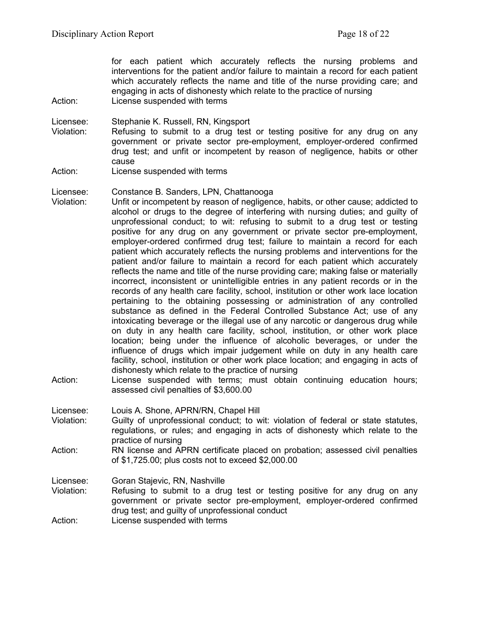for each patient which accurately reflects the nursing problems and interventions for the patient and/or failure to maintain a record for each patient which accurately reflects the name and title of the nurse providing care; and engaging in acts of dishonesty which relate to the practice of nursing Action: License suspended with terms

Licensee: Stephanie K. Russell, RN, Kingsport

- Violation: Refusing to submit to a drug test or testing positive for any drug on any government or private sector pre-employment, employer-ordered confirmed drug test; and unfit or incompetent by reason of negligence, habits or other cause
- Action: License suspended with terms

#### Licensee: Constance B. Sanders, LPN, Chattanooga

- Violation: Unfit or incompetent by reason of negligence, habits, or other cause; addicted to alcohol or drugs to the degree of interfering with nursing duties; and guilty of unprofessional conduct; to wit: refusing to submit to a drug test or testing positive for any drug on any government or private sector pre-employment, employer-ordered confirmed drug test; failure to maintain a record for each patient which accurately reflects the nursing problems and interventions for the patient and/or failure to maintain a record for each patient which accurately reflects the name and title of the nurse providing care; making false or materially incorrect, inconsistent or unintelligible entries in any patient records or in the records of any health care facility, school, institution or other work lace location pertaining to the obtaining possessing or administration of any controlled substance as defined in the Federal Controlled Substance Act; use of any intoxicating beverage or the illegal use of any narcotic or dangerous drug while on duty in any health care facility, school, institution, or other work place location; being under the influence of alcoholic beverages, or under the influence of drugs which impair judgement while on duty in any health care facility, school, institution or other work place location; and engaging in acts of dishonesty which relate to the practice of nursing
- Action: License suspended with terms; must obtain continuing education hours; assessed civil penalties of \$3,600.00

Licensee: Louis A. Shone, APRN/RN, Chapel Hill

- Violation: Guilty of unprofessional conduct; to wit: violation of federal or state statutes, regulations, or rules; and engaging in acts of dishonesty which relate to the practice of nursing
- Action: RN license and APRN certificate placed on probation; assessed civil penalties of \$1,725.00; plus costs not to exceed \$2,000.00

Licensee: Goran Stajevic, RN, Nashville

Violation: Refusing to submit to a drug test or testing positive for any drug on any government or private sector pre-employment, employer-ordered confirmed drug test; and guilty of unprofessional conduct

Action: License suspended with terms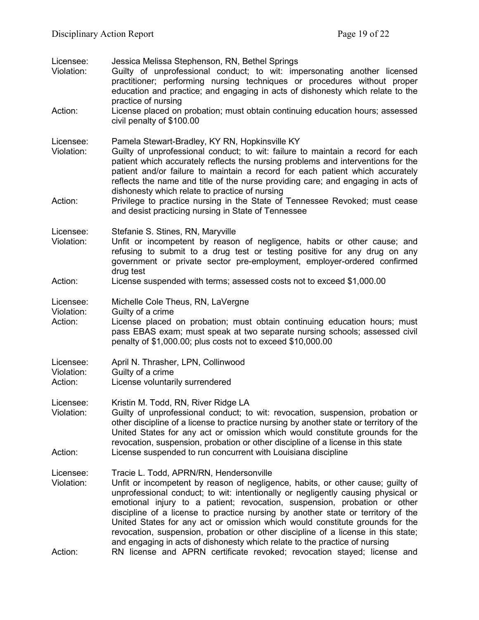| Licensee:<br>Violation:<br>Action: | Jessica Melissa Stephenson, RN, Bethel Springs<br>Guilty of unprofessional conduct; to wit: impersonating another licensed<br>practitioner; performing nursing techniques or procedures without proper<br>education and practice; and engaging in acts of dishonesty which relate to the<br>practice of nursing<br>License placed on probation; must obtain continuing education hours; assessed<br>civil penalty of \$100.00                                                                                                                                                                                                                                                                                 |
|------------------------------------|---------------------------------------------------------------------------------------------------------------------------------------------------------------------------------------------------------------------------------------------------------------------------------------------------------------------------------------------------------------------------------------------------------------------------------------------------------------------------------------------------------------------------------------------------------------------------------------------------------------------------------------------------------------------------------------------------------------|
| Licensee:<br>Violation:<br>Action: | Pamela Stewart-Bradley, KY RN, Hopkinsville KY<br>Guilty of unprofessional conduct; to wit: failure to maintain a record for each<br>patient which accurately reflects the nursing problems and interventions for the<br>patient and/or failure to maintain a record for each patient which accurately<br>reflects the name and title of the nurse providing care; and engaging in acts of<br>dishonesty which relate to practice of nursing<br>Privilege to practice nursing in the State of Tennessee Revoked; must cease<br>and desist practicing nursing in State of Tennessee                                                                                                                            |
| Licensee:<br>Violation:            | Stefanie S. Stines, RN, Maryville<br>Unfit or incompetent by reason of negligence, habits or other cause; and<br>refusing to submit to a drug test or testing positive for any drug on any<br>government or private sector pre-employment, employer-ordered confirmed<br>drug test                                                                                                                                                                                                                                                                                                                                                                                                                            |
| Action:                            | License suspended with terms; assessed costs not to exceed \$1,000.00                                                                                                                                                                                                                                                                                                                                                                                                                                                                                                                                                                                                                                         |
| Licensee:<br>Violation:<br>Action: | Michelle Cole Theus, RN, LaVergne<br>Guilty of a crime<br>License placed on probation; must obtain continuing education hours; must<br>pass EBAS exam; must speak at two separate nursing schools; assessed civil<br>penalty of \$1,000.00; plus costs not to exceed \$10,000.00                                                                                                                                                                                                                                                                                                                                                                                                                              |
| Licensee:<br>Violation:<br>Action: | April N. Thrasher, LPN, Collinwood<br>Guilty of a crime<br>License voluntarily surrendered                                                                                                                                                                                                                                                                                                                                                                                                                                                                                                                                                                                                                    |
| Licensee:<br>Violation:<br>Action: | Kristin M. Todd, RN, River Ridge LA<br>Guilty of unprofessional conduct; to wit: revocation, suspension, probation or<br>other discipline of a license to practice nursing by another state or territory of the<br>United States for any act or omission which would constitute grounds for the<br>revocation, suspension, probation or other discipline of a license in this state<br>License suspended to run concurrent with Louisiana discipline                                                                                                                                                                                                                                                          |
| Licensee:<br>Violation:<br>Action: | Tracie L. Todd, APRN/RN, Hendersonville<br>Unfit or incompetent by reason of negligence, habits, or other cause; guilty of<br>unprofessional conduct; to wit: intentionally or negligently causing physical or<br>emotional injury to a patient; revocation, suspension, probation or other<br>discipline of a license to practice nursing by another state or territory of the<br>United States for any act or omission which would constitute grounds for the<br>revocation, suspension, probation or other discipline of a license in this state;<br>and engaging in acts of dishonesty which relate to the practice of nursing<br>RN license and APRN certificate revoked; revocation stayed; license and |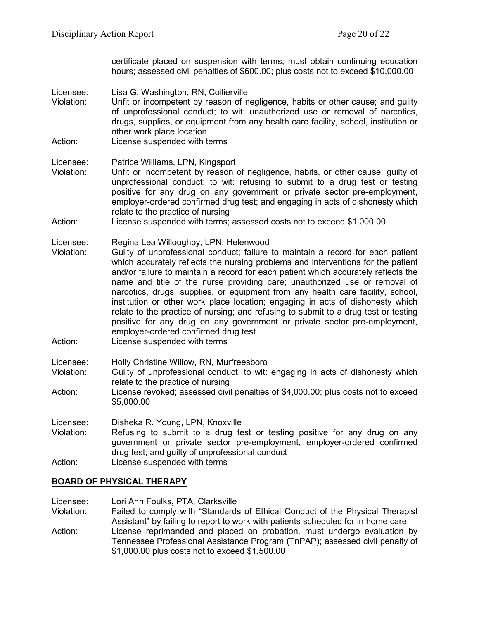certificate placed on suspension with terms; must obtain continuing education hours; assessed civil penalties of \$600.00; plus costs not to exceed \$10,000.00

- Licensee: Lisa G. Washington, RN, Collierville<br>Violation: Unfit or incompetent by reason of n
- Unfit or incompetent by reason of negligence, habits or other cause; and guilty of unprofessional conduct; to wit: unauthorized use or removal of narcotics, drugs, supplies, or equipment from any health care facility, school, institution or other work place location
- Action: License suspended with terms
- Licensee: Patrice Williams, LPN, Kingsport
- Violation: Unfit or incompetent by reason of negligence, habits, or other cause; guilty of unprofessional conduct; to wit: refusing to submit to a drug test or testing positive for any drug on any government or private sector pre-employment, employer-ordered confirmed drug test; and engaging in acts of dishonesty which relate to the practice of nursing
- Action: License suspended with terms; assessed costs not to exceed \$1,000.00
- Licensee: Regina Lea Willoughby, LPN, Helenwood
- Violation: Guilty of unprofessional conduct; failure to maintain a record for each patient which accurately reflects the nursing problems and interventions for the patient and/or failure to maintain a record for each patient which accurately reflects the name and title of the nurse providing care; unauthorized use or removal of narcotics, drugs, supplies, or equipment from any health care facility, school, institution or other work place location; engaging in acts of dishonesty which relate to the practice of nursing; and refusing to submit to a drug test or testing positive for any drug on any government or private sector pre-employment, employer-ordered confirmed drug test
- Action: License suspended with terms
- Licensee: Holly Christine Willow, RN, Murfreesboro
- Violation: Guilty of unprofessional conduct; to wit: engaging in acts of dishonesty which relate to the practice of nursing
- Action: License revoked; assessed civil penalties of \$4,000.00; plus costs not to exceed \$5,000.00
- Licensee: Disheka R. Young, LPN, Knoxville
- Violation: Refusing to submit to a drug test or testing positive for any drug on any government or private sector pre-employment, employer-ordered confirmed drug test; and guilty of unprofessional conduct
- Action: License suspended with terms

### **BOARD OF PHYSICAL THERAPY**

- Licensee: Lori Ann Foulks, PTA, Clarksville<br>Violation: Failed to comply with "Standards
- Failed to comply with "Standards of Ethical Conduct of the Physical Therapist Assistant" by failing to report to work with patients scheduled for in home care. Action: License reprimanded and placed on probation, must undergo evaluation by Tennessee Professional Assistance Program (TnPAP); assessed civil penalty of \$1,000.00 plus costs not to exceed \$1,500.00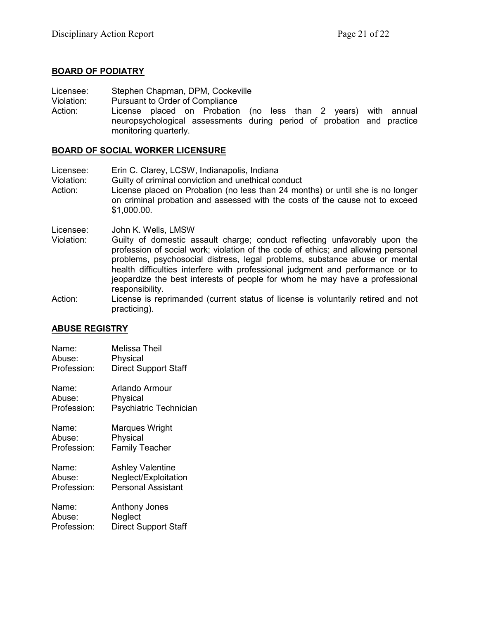### **BOARD OF PODIATRY**

Licensee: Stephen Chapman, DPM, Cookeville

Violation: Pursuant to Order of Compliance

Action: License placed on Probation (no less than 2 years) with annual neuropsychological assessments during period of probation and practice monitoring quarterly.

### **BOARD OF SOCIAL WORKER LICENSURE**

Licensee: Erin C. Clarey, LCSW, Indianapolis, Indiana Violation: Guilty of criminal conviction and unethical conduct Action: License placed on Probation (no less than 24 months) or until she is no longer on criminal probation and assessed with the costs of the cause not to exceed \$1,000.00.

Licensee: John K. Wells, LMSW

- Violation: Guilty of domestic assault charge; conduct reflecting unfavorably upon the profession of social work; violation of the code of ethics; and allowing personal problems, psychosocial distress, legal problems, substance abuse or mental health difficulties interfere with professional judgment and performance or to jeopardize the best interests of people for whom he may have a professional responsibility.
- Action: License is reprimanded (current status of license is voluntarily retired and not practicing).

## **ABUSE REGISTRY**

| Name:       | Melissa Theil               |
|-------------|-----------------------------|
| Abuse:      | Physical                    |
| Profession: | <b>Direct Support Staff</b> |
| Name:       | Arlando Armour              |
| Abuse:      | Physical                    |
| Profession: | Psychiatric Technician      |
| Name:       | Marques Wright              |
| Abuse:      | Physical                    |
| Profession: | <b>Family Teacher</b>       |
| Name:       | <b>Ashley Valentine</b>     |
| Abuse:      | Neglect/Exploitation        |
| Profession: | <b>Personal Assistant</b>   |
| Name:       | Anthony Jones               |
| Abuse:      | Neglect                     |
| Profession: | <b>Direct Support Staff</b> |